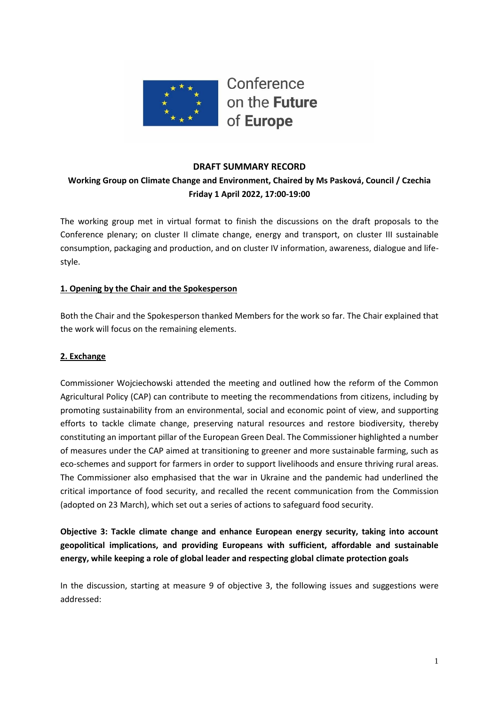

#### **DRAFT SUMMARY RECORD**

## **Working Group on Climate Change and Environment, Chaired by Ms Pasková, Council / Czechia Friday 1 April 2022, 17:00-19:00**

The working group met in virtual format to finish the discussions on the draft proposals to the Conference plenary; on cluster II climate change, energy and transport, on cluster III sustainable consumption, packaging and production, and on cluster IV information, awareness, dialogue and lifestyle.

#### **1. Opening by the Chair and the Spokesperson**

Both the Chair and the Spokesperson thanked Members for the work so far. The Chair explained that the work will focus on the remaining elements.

#### **2. Exchange**

Commissioner Wojciechowski attended the meeting and outlined how the reform of the Common Agricultural Policy (CAP) can contribute to meeting the recommendations from citizens, including by promoting sustainability from an environmental, social and economic point of view, and supporting efforts to tackle climate change, preserving natural resources and restore biodiversity, thereby constituting an important pillar of the European Green Deal. The Commissioner highlighted a number of measures under the CAP aimed at transitioning to greener and more sustainable farming, such as eco-schemes and support for farmers in order to support livelihoods and ensure thriving rural areas. The Commissioner also emphasised that the war in Ukraine and the pandemic had underlined the critical importance of food security, and recalled the recent communication from the Commission (adopted on 23 March), which set out a series of actions to safeguard food security.

**Objective 3: Tackle climate change and enhance European energy security, taking into account geopolitical implications, and providing Europeans with sufficient, affordable and sustainable energy, while keeping a role of global leader and respecting global climate protection goals** 

In the discussion, starting at measure 9 of objective 3, the following issues and suggestions were addressed: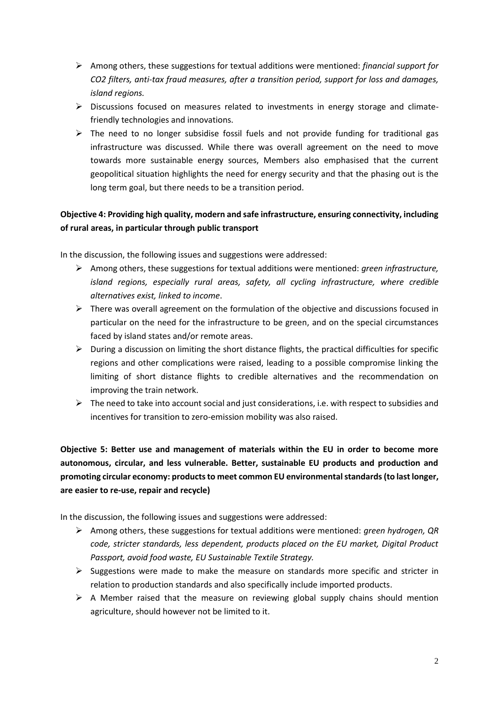- ➢ Among others, these suggestions for textual additions were mentioned: *financial support for CO2 filters, anti-tax fraud measures, after a transition period, support for loss and damages, island regions.*
- $\triangleright$  Discussions focused on measures related to investments in energy storage and climatefriendly technologies and innovations.
- $\triangleright$  The need to no longer subsidise fossil fuels and not provide funding for traditional gas infrastructure was discussed. While there was overall agreement on the need to move towards more sustainable energy sources, Members also emphasised that the current geopolitical situation highlights the need for energy security and that the phasing out is the long term goal, but there needs to be a transition period.

# **Objective 4: Providing high quality, modern and safe infrastructure, ensuring connectivity, including of rural areas, in particular through public transport**

In the discussion, the following issues and suggestions were addressed:

- ➢ Among others, these suggestions for textual additions were mentioned: *green infrastructure, island regions, especially rural areas, safety, all cycling infrastructure, where credible alternatives exist, linked to income*.
- $\triangleright$  There was overall agreement on the formulation of the objective and discussions focused in particular on the need for the infrastructure to be green, and on the special circumstances faced by island states and/or remote areas.
- $\triangleright$  During a discussion on limiting the short distance flights, the practical difficulties for specific regions and other complications were raised, leading to a possible compromise linking the limiting of short distance flights to credible alternatives and the recommendation on improving the train network.
- ➢ The need to take into account social and just considerations, i.e. with respect to subsidies and incentives for transition to zero-emission mobility was also raised.

**Objective 5: Better use and management of materials within the EU in order to become more autonomous, circular, and less vulnerable. Better, sustainable EU products and production and promoting circular economy: products to meet common EU environmental standards (to last longer, are easier to re-use, repair and recycle)**

In the discussion, the following issues and suggestions were addressed:

- ➢ Among others, these suggestions for textual additions were mentioned: *green hydrogen, QR code, stricter standards, less dependent, products placed on the EU market, Digital Product Passport, avoid food waste, EU Sustainable Textile Strategy.*
- $\triangleright$  Suggestions were made to make the measure on standards more specific and stricter in relation to production standards and also specifically include imported products.
- $\triangleright$  A Member raised that the measure on reviewing global supply chains should mention agriculture, should however not be limited to it.